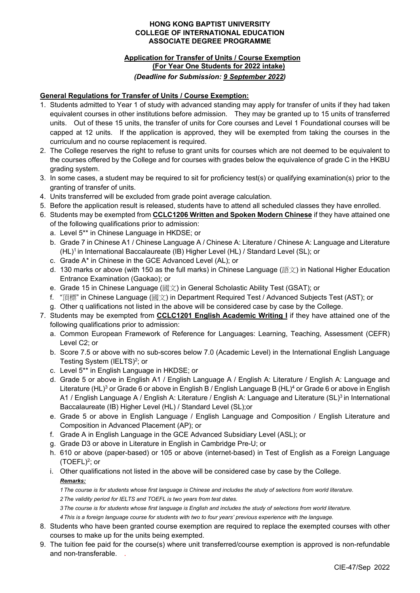#### **HONG KONG BAPTIST UNIVERSITY COLLEGE OF INTERNATIONAL EDUCATION ASSOCIATE DEGREE PROGRAMME**

# **Application for Transfer of Units / Course Exemption (For Year One Students for 2022 intake)**  *(Deadline for Submission: 9 September 2022)*

### **General Regulations for Transfer of Units / Course Exemption:**

- 1. Students admitted to Year 1 of study with advanced standing may apply for transfer of units if they had taken equivalent courses in other institutions before admission. They may be granted up to 15 units of transferred units. Out of these 15 units, the transfer of units for Core courses and Level 1 Foundational courses will be capped at 12 units. If the application is approved, they will be exempted from taking the courses in the curriculum and no course replacement is required.
- 2. The College reserves the right to refuse to grant units for courses which are not deemed to be equivalent to the courses offered by the College and for courses with grades below the equivalence of grade C in the HKBU grading system.
- 3. In some cases, a student may be required to sit for proficiency test(s) or qualifying examination(s) prior to the granting of transfer of units.
- 4. Units transferred will be excluded from grade point average calculation.
- 5. Before the application result is released, students have to attend all scheduled classes they have enrolled.
- 6. Students may be exempted from **CCLC1206 Written and Spoken Modern Chinese** if they have attained one of the following qualifications prior to admission:
	- a. Level 5\*\* in Chinese Language in HKDSE; or
	- b. Grade 7 in Chinese A1 / Chinese Language A / Chinese A: Literature / Chinese A: Language and Literature (HL)<sup>1</sup> in International Baccalaureate (IB) Higher Level (HL) / Standard Level (SL); or
	- c. Grade A\* in Chinese in the GCE Advanced Level (AL); or
	- d. 130 marks or above (with 150 as the full marks) in Chinese Language (語文) in National Higher Education Entrance Examination (Gaokao); or
	- e. Grade 15 in Chinese Language (國文) in General Scholastic Ability Test (GSAT); or
	- f. "頂標" in Chinese Language (國文) in Department Required Test / Advanced Subjects Test (AST); or
	- g. Other q ualifications not listed in the above will be considered case by case by the College.
- 7. Students may be exempted from **CCLC1201 English Academic Writing I** if they have attained one of the following qualifications prior to admission:
	- a. Common European Framework of Reference for Languages: Learning, Teaching, Assessment (CEFR) Level C2; or
	- b. Score 7.5 or above with no sub-scores below 7.0 (Academic Level) in the International English Language Testing System (IELTS)<sup>2</sup>; or
	- c. Level 5\*\* in English Language in HKDSE; or
	- d. Grade 5 or above in English A1 / English Language A / English A: Literature / English A: Language and Literature (HL)<sup>3</sup> or Grade 6 or above in English B / English Language B (HL)<sup>4</sup> or Grade 6 or above in English A1 / English Language A / English A: Literature / English A: Language and Literature (SL)<sup>3</sup> in International Baccalaureate (IB) Higher Level (HL) / Standard Level (SL);or
	- e. Grade 5 or above in English Language / English Language and Composition / English Literature and Composition in Advanced Placement (AP); or
	- f. Grade A in English Language in the GCE Advanced Subsidiary Level (ASL); or
	- g. Grade D3 or above in Literature in English in Cambridge Pre-U; or
	- h. 610 or above (paper-based) or 105 or above (internet-based) in Test of English as a Foreign Language  $(TOEFL)<sup>2</sup>$ ; or
	- i. Other qualifications not listed in the above will be considered case by case by the College. *Remarks:*

*1 The course is for students whose first language is Chinese and includes the study of selections from world literature.* 

- *2 The validity period for IELTS and TOEFL is two years from test dates.*
- *3 The course is for students whose first language is English and includes the study of selections from world literature.*

*4 This is a foreign language course for students with two to four years' previous experience with the language.*

- 8. Students who have been granted course exemption are required to replace the exempted courses with other courses to make up for the units being exempted.
- 9. The tuition fee paid for the course(s) where unit transferred/course exemption is approved is non-refundable and non-transferable. .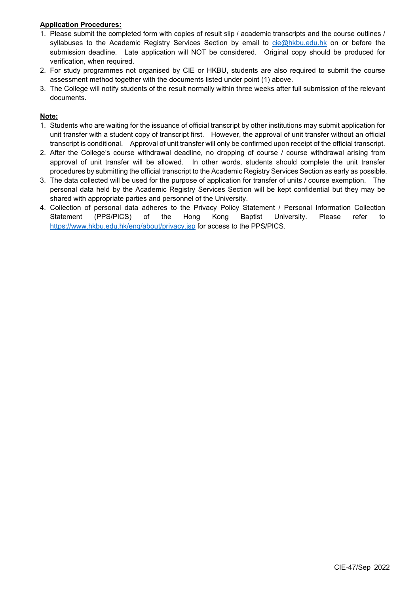## **Application Procedures:**

- 1. Please submit the completed form with copies of result slip / academic transcripts and the course outlines / syllabuses to the Academic Registry Services Section by email to cie@hkbu.edu.hk on or before the submission deadline. Late application will NOT be considered. Original copy should be produced for verification, when required.
- 2. For study programmes not organised by CIE or HKBU, students are also required to submit the course assessment method together with the documents listed under point (1) above.
- 3. The College will notify students of the result normally within three weeks after full submission of the relevant documents.

## **Note:**

- 1. Students who are waiting for the issuance of official transcript by other institutions may submit application for unit transfer with a student copy of transcript first. However, the approval of unit transfer without an official transcript is conditional. Approval of unit transfer will only be confirmed upon receipt of the official transcript.
- 2. After the College's course withdrawal deadline, no dropping of course / course withdrawal arising from approval of unit transfer will be allowed. In other words, students should complete the unit transfer procedures by submitting the official transcript to the Academic Registry Services Section as early as possible.
- 3. The data collected will be used for the purpose of application for transfer of units / course exemption. The personal data held by the Academic Registry Services Section will be kept confidential but they may be shared with appropriate parties and personnel of the University.
- 4. Collection of personal data adheres to the Privacy Policy Statement / Personal Information Collection Statement (PPS/PICS) of the Hong Kong Baptist University. Please refer to https://www.hkbu.edu.hk/eng/about/privacy.jsp for access to the PPS/PICS.